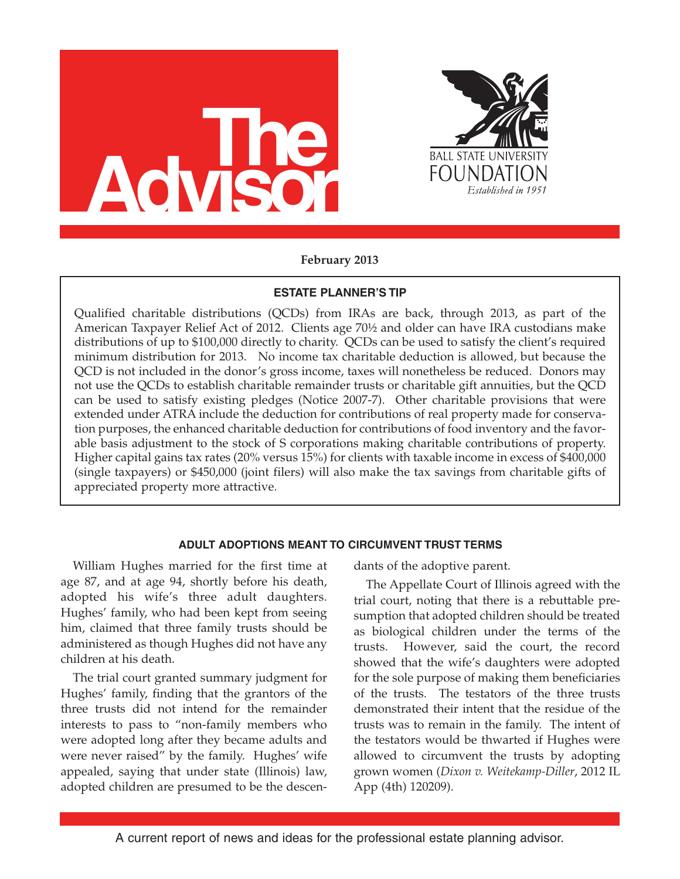



# **February 2013**

# **ESTATE PLANNER'S TIP**

Qualified charitable distributions (QCDs) from IRAs are back, through 2013, as part of the American Taxpayer Relief Act of 2012. Clients age 70½ and older can have IRA custodians make distributions of up to \$100,000 directly to charity. QCDs can be used to satisfy the client's required minimum distribution for 2013. No income tax charitable deduction is allowed, but because the QCD is not included in the donor's gross income, taxes will nonetheless be reduced. Donors may not use the QCDs to establish charitable remainder trusts or charitable gift annuities, but the QCD can be used to satisfy existing pledges (Notice 2007-7). Other charitable provisions that were extended under ATRA include the deduction for contributions of real property made for conservation purposes, the enhanced charitable deduction for contributions of food inventory and the favorable basis adjustment to the stock of S corporations making charitable contributions of property. Higher capital gains tax rates (20% versus 15%) for clients with taxable income in excess of \$400,000 (single taxpayers) or \$450,000 (joint filers) will also make the tax savings from charitable gifts of appreciated property more attractive.

# **ADULT ADOPTIONS MEANT TO CIRCUMVENT TRUST TERMS**

William Hughes married for the first time at age 87, and at age 94, shortly before his death, adopted his wife's three adult daughters. Hughes' family, who had been kept from seeing him, claimed that three family trusts should be administered as though Hughes did not have any children at his death.

The trial court granted summary judgment for Hughes' family, finding that the grantors of the three trusts did not intend for the remainder interests to pass to "non-family members who were adopted long after they became adults and were never raised" by the family. Hughes' wife appealed, saying that under state (Illinois) law, adopted children are presumed to be the descendants of the adoptive parent.

The Appellate Court of Illinois agreed with the trial court, noting that there is a rebuttable presumption that adopted children should be treated as biological children under the terms of the trusts. However, said the court, the record showed that the wife's daughters were adopted for the sole purpose of making them beneficiaries of the trusts. The testators of the three trusts demonstrated their intent that the residue of the trusts was to remain in the family. The intent of the testators would be thwarted if Hughes were allowed to circumvent the trusts by adopting grown women (*Dixon v. Weitekamp-Diller*, 2012 IL App (4th) 120209).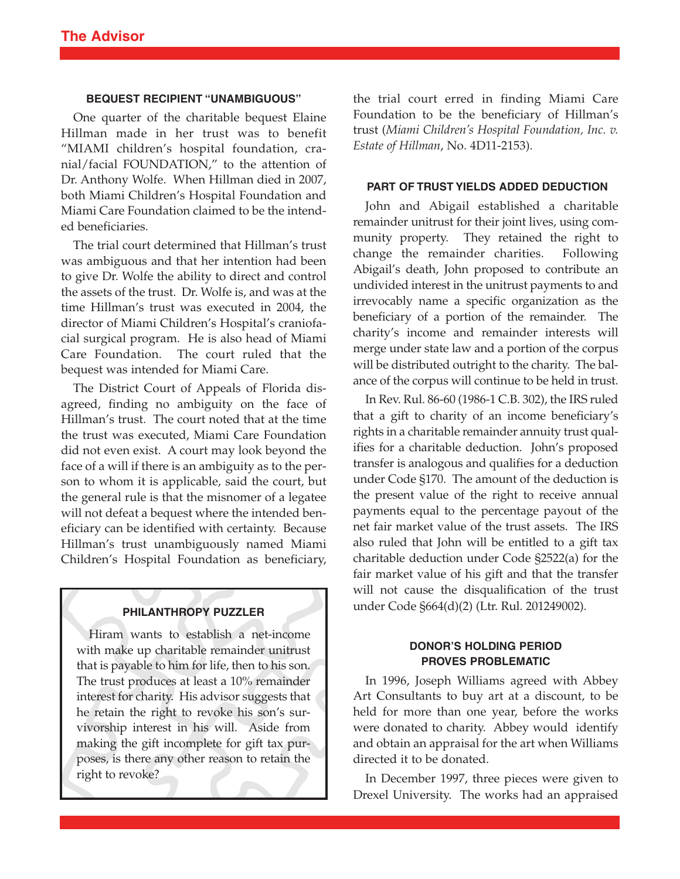### **BEQUEST RECIPIENT "UNAMBIGUOUS"**

One quarter of the charitable bequest Elaine Hillman made in her trust was to benefit "MIAMI children's hospital foundation, cranial/facial FOUNDATION," to the attention of Dr. Anthony Wolfe. When Hillman died in 2007, both Miami Children's Hospital Foundation and Miami Care Foundation claimed to be the intended beneficiaries.

The trial court determined that Hillman's trust was ambiguous and that her intention had been to give Dr. Wolfe the ability to direct and control the assets of the trust. Dr. Wolfe is, and was at the time Hillman's trust was executed in 2004, the director of Miami Children's Hospital's craniofacial surgical program. He is also head of Miami Care Foundation. The court ruled that the bequest was intended for Miami Care.

The District Court of Appeals of Florida disagreed, finding no ambiguity on the face of Hillman's trust. The court noted that at the time the trust was executed, Miami Care Foundation did not even exist. A court may look beyond the face of a will if there is an ambiguity as to the person to whom it is applicable, said the court, but the general rule is that the misnomer of a legatee will not defeat a bequest where the intended beneficiary can be identified with certainty. Because Hillman's trust unambiguously named Miami Children's Hospital Foundation as beneficiary,

### **PHILANTHROPY PUZZLER**

Hiram wants to establish a net-income with make up charitable remainder unitrust that is payable to him for life, then to his son. The trust produces at least a 10% remainder interest for charity. His advisor suggests that he retain the right to revoke his son's survivorship interest in his will. Aside from making the gift incomplete for gift tax purposes, is there any other reason to retain the right to revoke?

the trial court erred in finding Miami Care Foundation to be the beneficiary of Hillman's trust (*Miami Children's Hospital Foundation, Inc. v. Estate of Hillman*, No. 4D11-2153).

### **PART OF TRUST YIELDS ADDED DEDUCTION**

John and Abigail established a charitable remainder unitrust for their joint lives, using community property. They retained the right to change the remainder charities. Following Abigail's death, John proposed to contribute an undivided interest in the unitrust payments to and irrevocably name a specific organization as the beneficiary of a portion of the remainder. The charity's income and remainder interests will merge under state law and a portion of the corpus will be distributed outright to the charity. The balance of the corpus will continue to be held in trust.

In Rev. Rul. 86-60 (1986-1 C.B. 302), the IRS ruled that a gift to charity of an income beneficiary's rights in a charitable remainder annuity trust qualifies for a charitable deduction. John's proposed transfer is analogous and qualifies for a deduction under Code §170. The amount of the deduction is the present value of the right to receive annual payments equal to the percentage payout of the net fair market value of the trust assets. The IRS also ruled that John will be entitled to a gift tax charitable deduction under Code §2522(a) for the fair market value of his gift and that the transfer will not cause the disqualification of the trust under Code §664(d)(2) (Ltr. Rul. 201249002).

## **DONOR'S HOLDING PERIOD PROVES PROBLEMATIC**

In 1996, Joseph Williams agreed with Abbey Art Consultants to buy art at a discount, to be held for more than one year, before the works were donated to charity. Abbey would identify and obtain an appraisal for the art when Williams directed it to be donated.

In December 1997, three pieces were given to Drexel University. The works had an appraised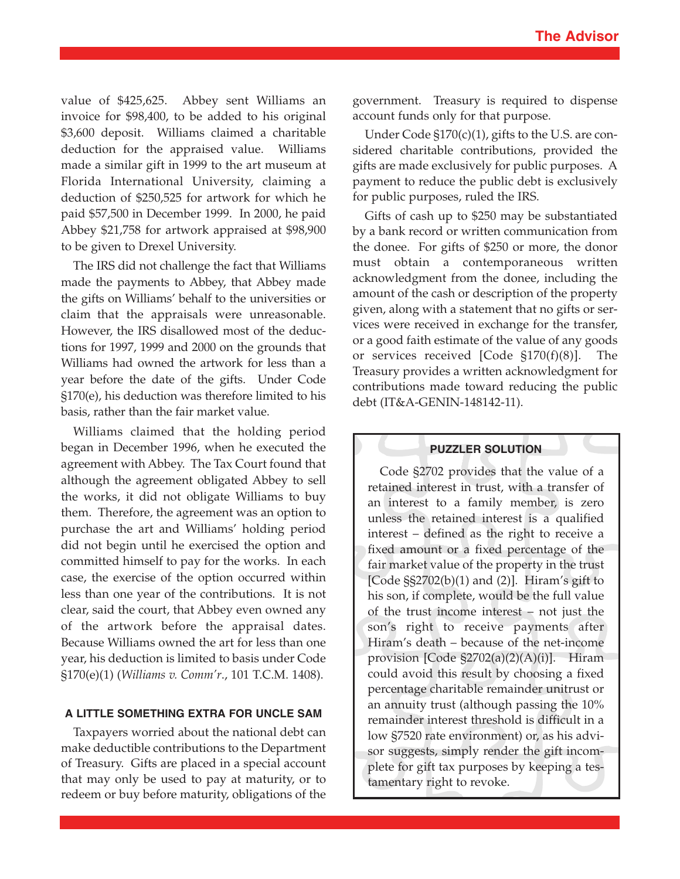value of \$425,625. Abbey sent Williams an invoice for \$98,400, to be added to his original \$3,600 deposit. Williams claimed a charitable deduction for the appraised value. Williams made a similar gift in 1999 to the art museum at Florida International University, claiming a deduction of \$250,525 for artwork for which he paid \$57,500 in December 1999. In 2000, he paid Abbey \$21,758 for artwork appraised at \$98,900 to be given to Drexel University.

The IRS did not challenge the fact that Williams made the payments to Abbey, that Abbey made the gifts on Williams' behalf to the universities or claim that the appraisals were unreasonable. However, the IRS disallowed most of the deductions for 1997, 1999 and 2000 on the grounds that Williams had owned the artwork for less than a year before the date of the gifts. Under Code §170(e), his deduction was therefore limited to his basis, rather than the fair market value.

Williams claimed that the holding period began in December 1996, when he executed the agreement with Abbey. The Tax Court found that although the agreement obligated Abbey to sell the works, it did not obligate Williams to buy them. Therefore, the agreement was an option to purchase the art and Williams' holding period did not begin until he exercised the option and committed himself to pay for the works. In each case, the exercise of the option occurred within less than one year of the contributions. It is not clear, said the court, that Abbey even owned any of the artwork before the appraisal dates. Because Williams owned the art for less than one year, his deduction is limited to basis under Code §170(e)(1) (*Williams v. Comm'r*., 101 T.C.M. 1408).

# **A LITTLE SOMETHING EXTRA FOR UNCLE SAM**

Taxpayers worried about the national debt can make deductible contributions to the Department of Treasury. Gifts are placed in a special account that may only be used to pay at maturity, or to redeem or buy before maturity, obligations of the

government. Treasury is required to dispense account funds only for that purpose.

Under Code §170(c)(1), gifts to the U.S. are considered charitable contributions, provided the gifts are made exclusively for public purposes. A payment to reduce the public debt is exclusively for public purposes, ruled the IRS.

Gifts of cash up to \$250 may be substantiated by a bank record or written communication from the donee. For gifts of \$250 or more, the donor must obtain a contemporaneous written acknowledgment from the donee, including the amount of the cash or description of the property given, along with a statement that no gifts or services were received in exchange for the transfer, or a good faith estimate of the value of any goods or services received [Code §170(f)(8)]. The Treasury provides a written acknowledgment for contributions made toward reducing the public debt (IT&A-GENIN-148142-11).

#### **PUZZLER SOLUTION**

Code §2702 provides that the value of a retained interest in trust, with a transfer of an interest to a family member, is zero unless the retained interest is a qualified interest – defined as the right to receive a fixed amount or a fixed percentage of the fair market value of the property in the trust [Code  $\S$ \$2702(b)(1) and (2)]. Hiram's gift to his son, if complete, would be the full value of the trust income interest – not just the son's right to receive payments after Hiram's death – because of the net-income provision [Code §2702(a)(2)(A)(i)]. Hiram could avoid this result by choosing a fixed percentage charitable remainder unitrust or an annuity trust (although passing the 10% remainder interest threshold is difficult in a low §7520 rate environment) or, as his advisor suggests, simply render the gift incomplete for gift tax purposes by keeping a testamentary right to revoke.